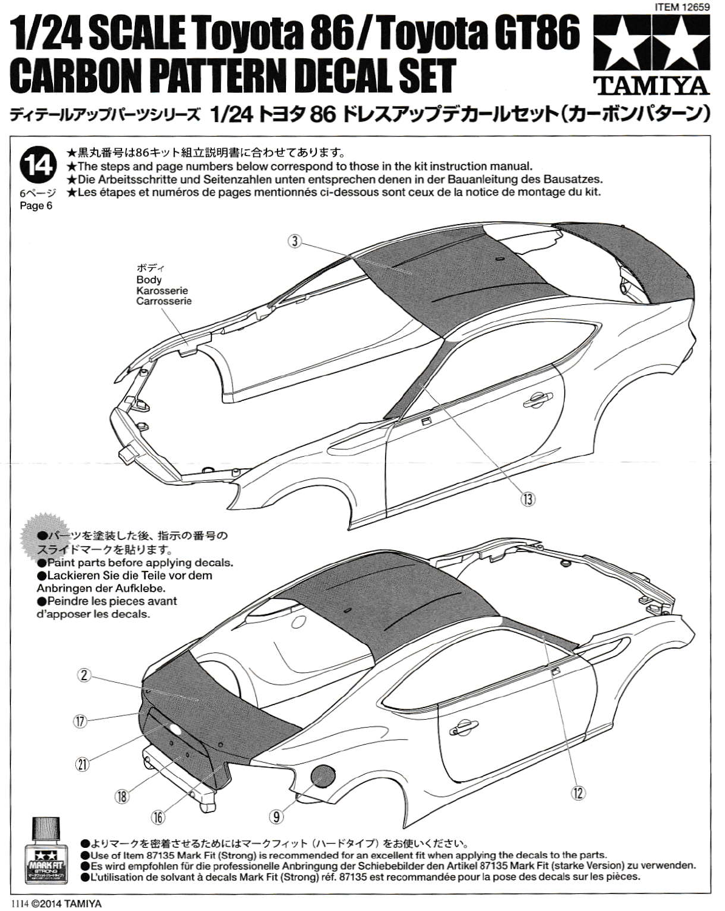# **ITEM 12659 1/24 SCALE Toyota 86/Toyota GT86 CARBON PATTERN DECAL SET TAMIYA** ディテールアップバーツシリーズ 1/24 トヨタ 86 ドレスアップデカールセット(カーボンパターン)